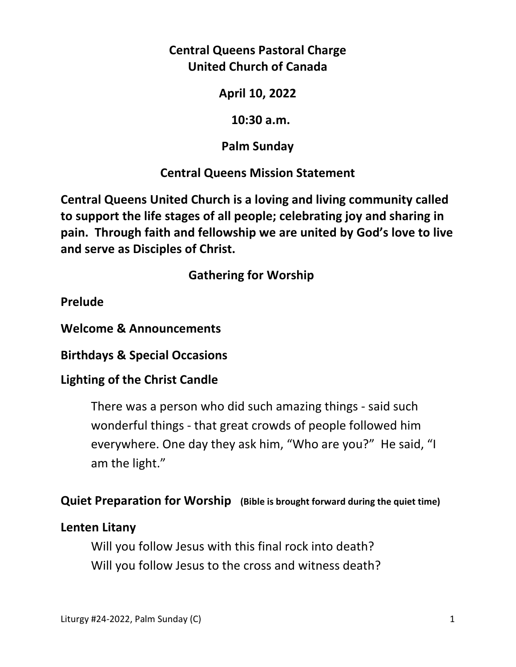# **Central Queens Pastoral Charge United Church of Canada**

**April 10, 2022** 

 **10:30 a.m.** 

**Palm Sunday** 

# **Central Queens Mission Statement**

**Central Queens United Church is a loving and living community called to support the life stages of all people; celebrating joy and sharing in pain. Through faith and fellowship we are united by God's love to live and serve as Disciples of Christ.**

 **Gathering for Worship** 

**Prelude** 

**Welcome & Announcements** 

**Birthdays & Special Occasions** 

## **Lighting of the Christ Candle**

There was a person who did such amazing things - said such wonderful things - that great crowds of people followed him everywhere. One day they ask him, "Who are you?" He said, "I am the light."

## **Quiet Preparation for Worship (Bible is brought forward during the quiet time)**

## **Lenten Litany**

Will you follow Jesus with this final rock into death? Will you follow Jesus to the cross and witness death?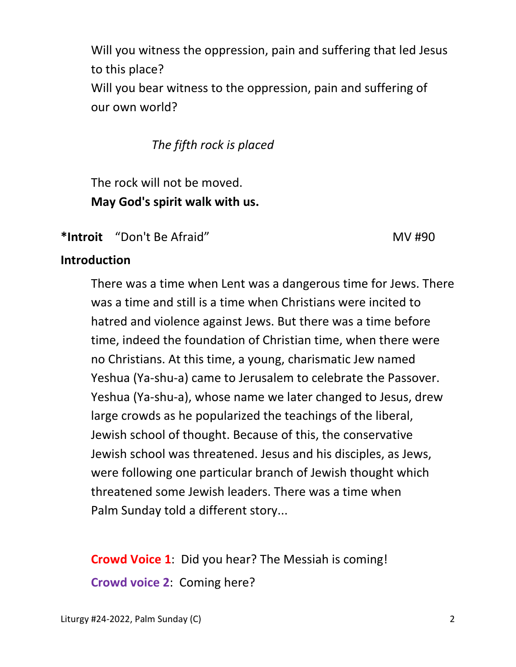Will you witness the oppression, pain and suffering that led Jesus to this place? Will you bear witness to the oppression, pain and suffering of our own world?

*The fifth rock is placed* 

 The rock will not be moved.  **May God's spirit walk with us.** 

\*Introit "Don't Be Afraid" MV #90

# **Introduction**

 There was a time when Lent was a dangerous time for Jews. There was a time and still is a time when Christians were incited to hatred and violence against Jews. But there was a time before time, indeed the foundation of Christian time, when there were no Christians. At this time, a young, charismatic Jew named Yeshua (Ya-shu-a) came to Jerusalem to celebrate the Passover. Yeshua (Ya-shu-a), whose name we later changed to Jesus, drew large crowds as he popularized the teachings of the liberal, Jewish school of thought. Because of this, the conservative Jewish school was threatened. Jesus and his disciples, as Jews, were following one particular branch of Jewish thought which threatened some Jewish leaders. There was a time when Palm Sunday told a different story...

**Crowd Voice 1**: Did you hear? The Messiah is coming! **Crowd voice 2**: Coming here?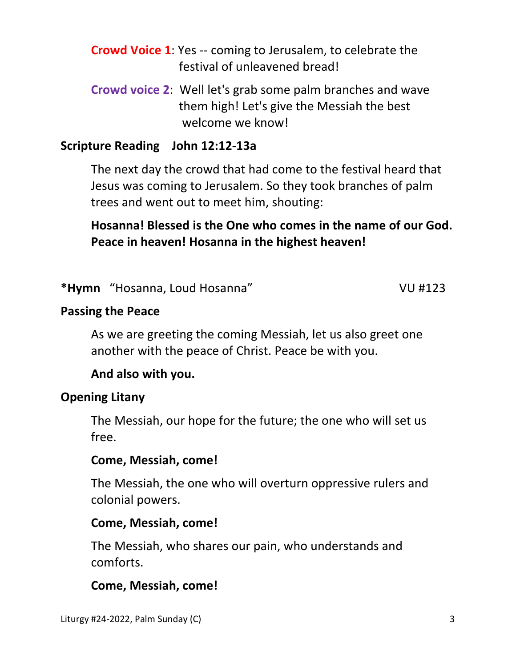- **Crowd Voice 1**: Yes -- coming to Jerusalem, to celebrate the festival of unleavened bread!
- **Crowd voice 2**: Well let's grab some palm branches and wave them high! Let's give the Messiah the best welcome we know!

## **Scripture Reading John 12:12-13a**

 The next day the crowd that had come to the festival heard that Jesus was coming to Jerusalem. So they took branches of palm trees and went out to meet him, shouting:

 **Hosanna! Blessed is the One who comes in the name of our God. Peace in heaven! Hosanna in the highest heaven!** 

**\*Hymn** "Hosanna, Loud Hosanna" VU #123

## **Passing the Peace**

As we are greeting the coming Messiah, let us also greet one another with the peace of Christ. Peace be with you.

# **And also with you.**

## **Opening Litany**

The Messiah, our hope for the future; the one who will set us free.

#### **Come, Messiah, come!**

 The Messiah, the one who will overturn oppressive rulers and colonial powers.

#### **Come, Messiah, come!**

 The Messiah, who shares our pain, who understands and comforts.

## **Come, Messiah, come!**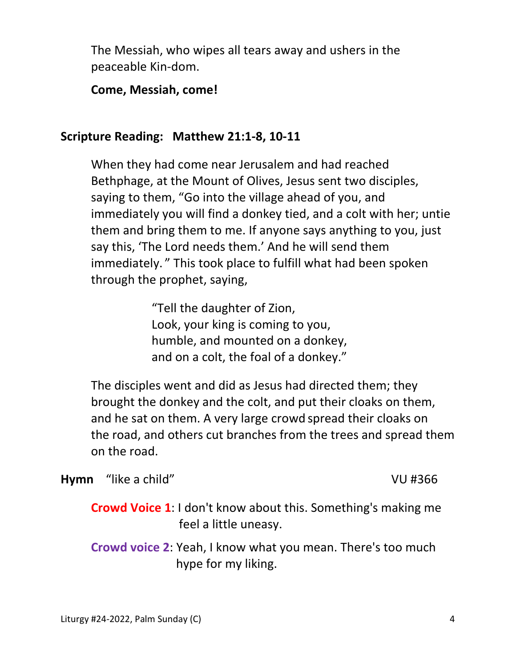The Messiah, who wipes all tears away and ushers in the peaceable Kin-dom.

#### **Come, Messiah, come!**

#### **Scripture Reading: Matthew 21:1-8, 10-11**

 When they had come near Jerusalem and had reached Bethphage, at the Mount of Olives, Jesus sent two disciples, saying to them, "Go into the village ahead of you, and immediately you will find a donkey tied, and a colt with her; untie them and bring them to me. If anyone says anything to you, just say this, 'The Lord needs them.' And he will send them immediately. " This took place to fulfill what had been spoken through the prophet, saying,

> "Tell the daughter of Zion, Look, your king is coming to you, humble, and mounted on a donkey, and on a colt, the foal of a donkey."

The disciples went and did as Jesus had directed them; they brought the donkey and the colt, and put their cloaks on them, and he sat on them. A very large crowd spread their cloaks on the road, and others cut branches from the trees and spread them on the road.

**Hymn** "like a child" VU #366

**Crowd Voice 1**: I don't know about this. Something's making me feel a little uneasy.

 **Crowd voice 2**: Yeah, I know what you mean. There's too much hype for my liking.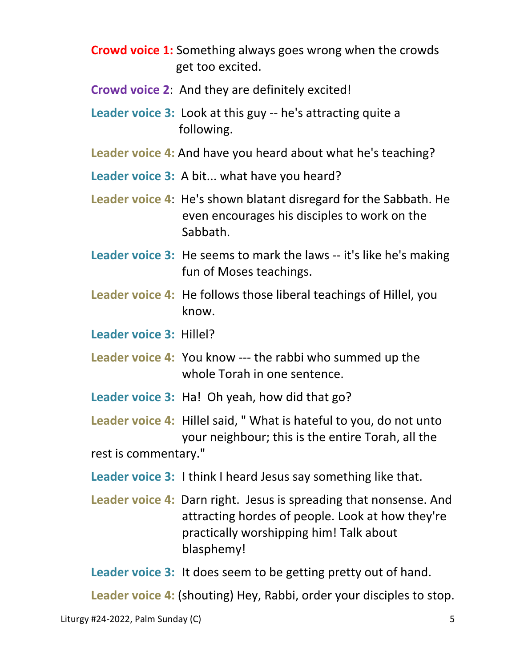- **Crowd voice 1:** Something always goes wrong when the crowds get too excited.
- **Crowd voice 2**: And they are definitely excited!
- **Leader voice 3:** Look at this guy -- he's attracting quite a following.
- **Leader voice 4:** And have you heard about what he's teaching?
- **Leader voice 3:** A bit... what have you heard?
- **Leader voice 4**: He's shown blatant disregard for the Sabbath. He even encourages his disciples to work on the Sabbath.
- **Leader voice 3:** He seems to mark the laws -- it's like he's making fun of Moses teachings.
- **Leader voice 4:** He follows those liberal teachings of Hillel, you know.
- **Leader voice 3:** Hillel?
- **Leader voice 4:** You know --- the rabbi who summed up the whole Torah in one sentence.
- **Leader voice 3:** Ha! Oh yeah, how did that go?
- **Leader voice 4:** Hillel said, " What is hateful to you, do not unto your neighbour; this is the entire Torah, all the rest is commentary."
- **Leader voice 3:** I think I heard Jesus say something like that.
- **Leader voice 4:** Darn right. Jesus is spreading that nonsense. And attracting hordes of people. Look at how they're practically worshipping him! Talk about blasphemy!
- **Leader voice 3:** It does seem to be getting pretty out of hand.

 **Leader voice 4:** (shouting) Hey, Rabbi, order your disciples to stop.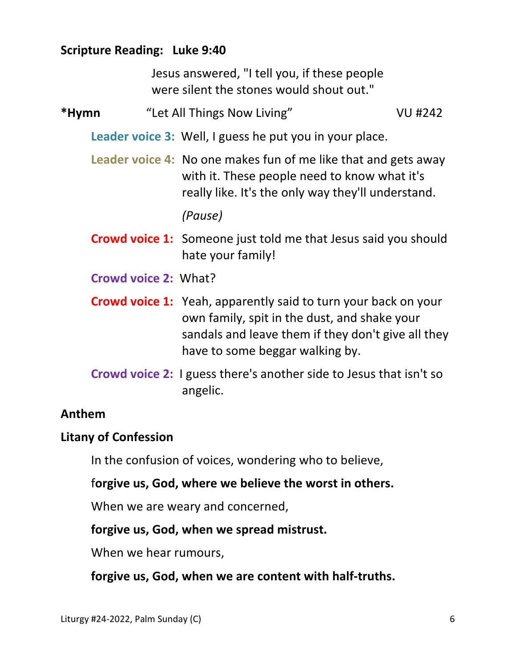## **Scripture Reading: Luke 9:40**

Jesus answered, "I tell you, if these people were silent the stones would shout out."

# \*Hymn 
"Let All Things Now Living" VU #242

**Leader voice 3:** Well, I guess he put you in your place.

**Leader voice 4:** No one makes fun of me like that and gets away with it. These people need to know what it's really like. It's the only way they'll understand.

 *(Pause)* 

- **Crowd voice 1:** Someone just told me that Jesus said you should hate your family!
- **Crowd voice 2:** What?
- **Crowd voice 1:** Yeah, apparently said to turn your back on your own family, spit in the dust, and shake your sandals and leave them if they don't give all they have to some beggar walking by.
- **Crowd voice 2:** I guess there's another side to Jesus that isn't so angelic.

## **Anthem**

## **Litany of Confession**

In the confusion of voices, wondering who to believe,

f**orgive us, God, where we believe the worst in others.** 

When we are weary and concerned,

## **forgive us, God, when we spread mistrust.**

When we hear rumours,

 **forgive us, God, when we are content with half-truths.**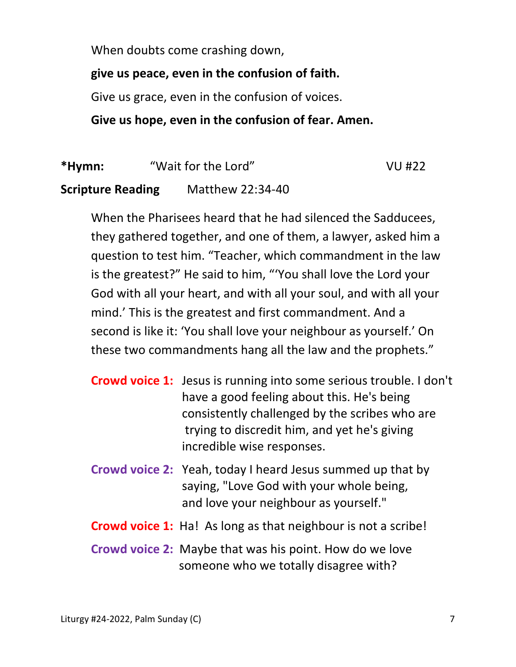When doubts come crashing down,

# **give us peace, even in the confusion of faith.**

Give us grace, even in the confusion of voices.

# **Give us hope, even in the confusion of fear. Amen.**

**\*Hymn:** "Wait for the Lord" VU #22

**Scripture Reading** Matthew 22:34-40

When the Pharisees heard that he had silenced the Sadducees, they gathered together, and one of them, a lawyer, asked him a question to test him. "Teacher, which commandment in the law is the greatest?" He said to him, "'You shall love the Lord your God with all your heart, and with all your soul, and with all your mind.' This is the greatest and first commandment. And a second is like it: 'You shall love your neighbour as yourself.' On these two commandments hang all the law and the prophets."

- **Crowd voice 1:** Jesus is running into some serious trouble. I don't have a good feeling about this. He's being consistently challenged by the scribes who are trying to discredit him, and yet he's giving incredible wise responses.
- **Crowd voice 2:** Yeah, today I heard Jesus summed up that by saying, "Love God with your whole being, and love your neighbour as yourself."
- **Crowd voice 1:** Ha! As long as that neighbour is not a scribe!
- **Crowd voice 2:** Maybe that was his point. How do we love someone who we totally disagree with?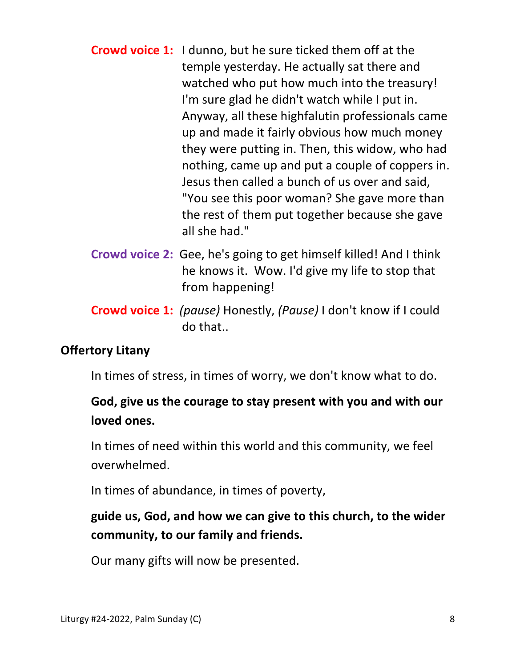- **Crowd voice 1:** I dunno, but he sure ticked them off at the temple yesterday. He actually sat there and watched who put how much into the treasury! I'm sure glad he didn't watch while I put in. Anyway, all these highfalutin professionals came up and made it fairly obvious how much money they were putting in. Then, this widow, who had nothing, came up and put a couple of coppers in. Jesus then called a bunch of us over and said, "You see this poor woman? She gave more than the rest of them put together because she gave all she had."
- **Crowd voice 2:** Gee, he's going to get himself killed! And I think he knows it. Wow. I'd give my life to stop that from happening!
- **Crowd voice 1:** *(pause)* Honestly, *(Pause)* I don't know if I could do that..

# **Offertory Litany**

In times of stress, in times of worry, we don't know what to do.

# **God, give us the courage to stay present with you and with our loved ones.**

 In times of need within this world and this community, we feel overwhelmed.

In times of abundance, in times of poverty,

# **guide us, God, and how we can give to this church, to the wider community, to our family and friends.**

Our many gifts will now be presented.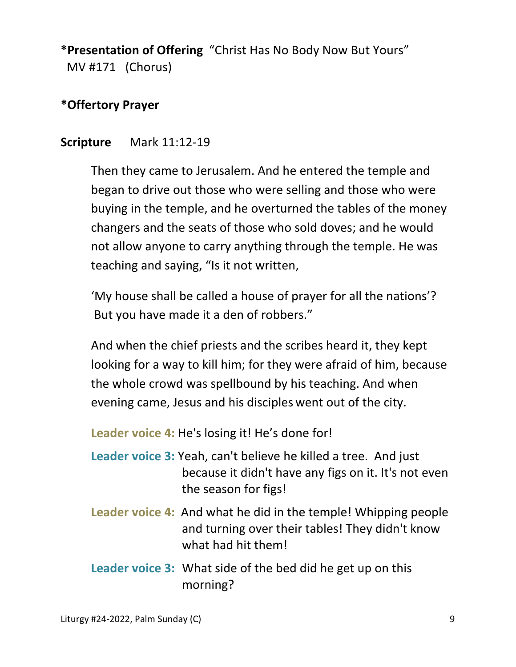**\*Presentation of Offering** "Christ Has No Body Now But Yours" MV #171 (Chorus)

## **\*Offertory Prayer**

#### **Scripture** Mark 11:12-19

Then they came to Jerusalem. And he entered the temple and began to drive out those who were selling and those who were buying in the temple, and he overturned the tables of the money changers and the seats of those who sold doves; and he would not allow anyone to carry anything through the temple. He was teaching and saying, "Is it not written,

 'My house shall be called a house of prayer for all the nations'? But you have made it a den of robbers."

And when the chief priests and the scribes heard it, they kept looking for a way to kill him; for they were afraid of him, because the whole crowd was spellbound by his teaching. And when evening came, Jesus and his disciples went out of the city.

 **Leader voice 4:** He's losing it! He's done for!

- **Leader voice 3:** Yeah, can't believe he killed a tree. And just because it didn't have any figs on it. It's not even the season for figs!
- **Leader voice 4:** And what he did in the temple! Whipping people and turning over their tables! They didn't know what had hit them!
- **Leader voice 3:** What side of the bed did he get up on this morning?